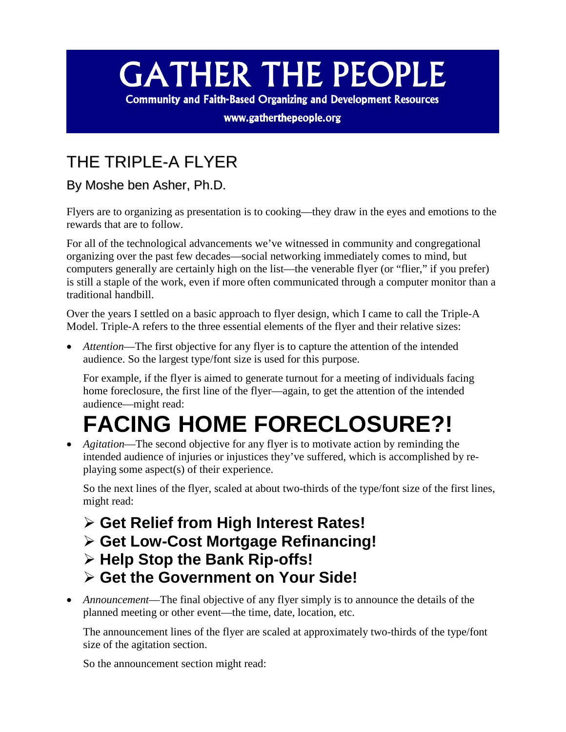## **GATHER THE PEOPLE**

**Community and Faith-Based Organizing and Development Resources** 

www.gatherthepeople.org

## THE TRIPLE-A FLYER

By Moshe ben Asher, Ph.D.

Flyers are to organizing as presentation is to cooking—they draw in the eyes and emotions to the rewards that are to follow.

For all of the technological advancements we've witnessed in community and congregational organizing over the past few decades—social networking immediately comes to mind, but computers generally are certainly high on the list—the venerable flyer (or "flier," if you prefer) is still a staple of the work, even if more often communicated through a computer monitor than a traditional handbill.

Over the years I settled on a basic approach to flyer design, which I came to call the Triple-A Model. Triple-A refers to the three essential elements of the flyer and their relative sizes:

• *Attention*—The first objective for any flyer is to capture the attention of the intended audience. So the largest type/font size is used for this purpose.

For example, if the flyer is aimed to generate turnout for a meeting of individuals facing home foreclosure, the first line of the flyer—again, to get the attention of the intended audience—might read:

## **FACING HOME FORECLOSURE?!**

• *Agitation*—The second objective for any flyer is to motivate action by reminding the intended audience of injuries or injustices they've suffered, which is accomplished by replaying some aspect(s) of their experience.

So the next lines of the flyer, scaled at about two-thirds of the type/font size of the first lines, might read:

- **Get Relief from High Interest Rates!**
- **Get Low-Cost Mortgage Refinancing!**
- **Help Stop the Bank Rip-offs!**
- **Get the Government on Your Side!**
- *Announcement*—The final objective of any flyer simply is to announce the details of the planned meeting or other event—the time, date, location, etc.

The announcement lines of the flyer are scaled at approximately two-thirds of the type/font size of the agitation section.

So the announcement section might read: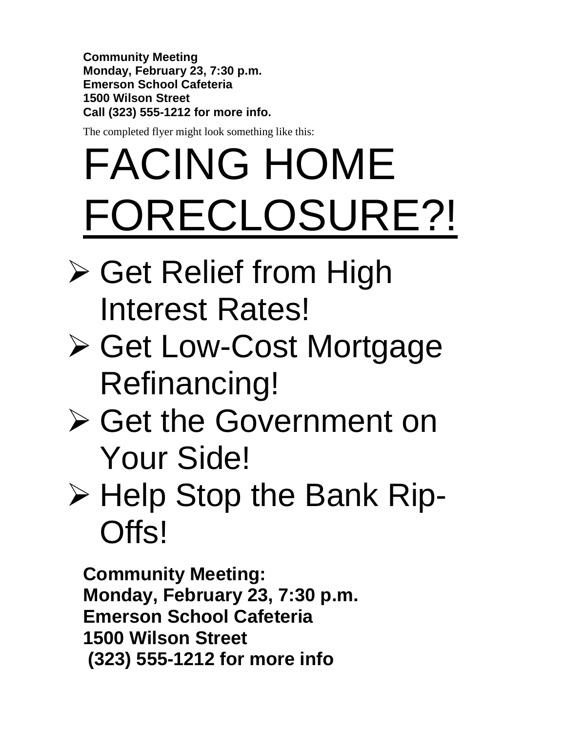**Community Meeting Monday, February 23, 7:30 p.m. Emerson School Cafeteria 1500 Wilson Street Call (323) 555-1212 for more info.**

The completed flyer might look something like this:

## FACING HOME FORECLOSURE?!

- **≻ Get Relief from High** Interest Rates!
- Get Low-Cost Mortgage Refinancing!
- Get the Government on Your Side!
- $\triangleright$  Help Stop the Bank Rip-Offs!

**Community Meeting: Monday, February 23, 7:30 p.m. Emerson School Cafeteria 1500 Wilson Street (323) 555-1212 for more info**